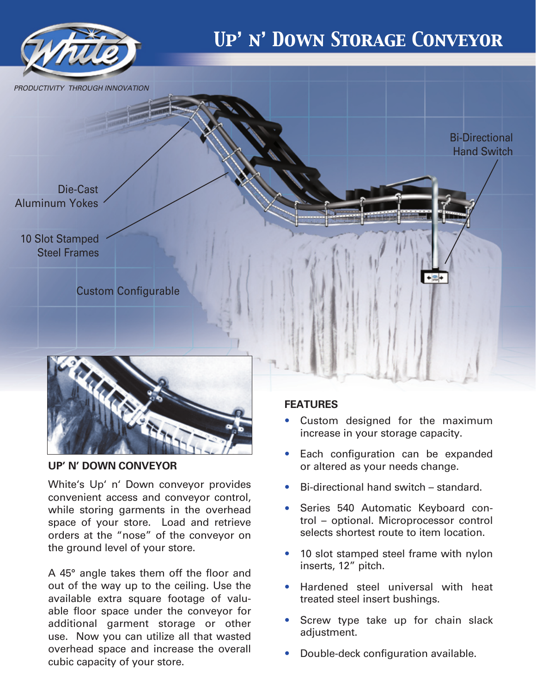

## **UP' N' DOWN CONVEYOR**

White's Up' n' Down conveyor provides convenient access and conveyor control, while storing garments in the overhead space of your store. Load and retrieve orders at the "nose" of the conveyor on the ground level of your store.

A 45° angle takes them off the floor and out of the way up to the ceiling. Use the available extra square footage of valuable floor space under the conveyor for additional garment storage or other use. Now you can utilize all that wasted overhead space and increase the overall cubic capacity of your store.

## **FEATURES**

- Custom designed for the maximum increase in your storage capacity.
- Each configuration can be expanded or altered as your needs change. •
- Bi-directional hand switch standard. •
- Series 540 Automatic Keyboard control – optional. Microprocessor control selects shortest route to item location. •
- 10 slot stamped steel frame with nylon inserts, 12" pitch.
- Hardened steel universal with heat treated steel insert bushings. •
- Screw type take up for chain slack adjustment. •
- Double-deck configuration available. •